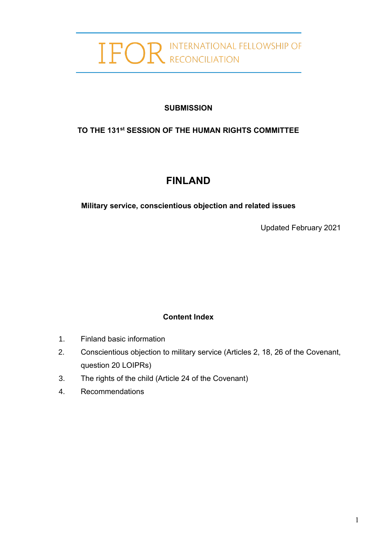# IFOR INTERNATIONAL FELLOWSHIP OF

#### **SUBMISSION**

# **TO THE 131 st SESSION OF THE HUMAN RIGHTS COMMITTEE**

# **FINLAND**

**Military service, conscientious objection and related issues**

Updated February 2021

# **Content Index**

- 1. Finland basic information
- 2. Conscientious objection to military service (Articles 2, 18, 26 of the Covenant, question 20 LOIPRs)
- 3. The rights of the child (Article 24 of the Covenant)
- 4. Recommendations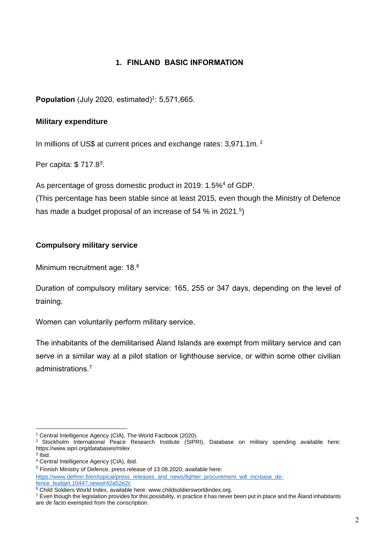#### **1. FINLAND BASIC INFORMATION**

**Population** (July 2020, estimated)<sup>1</sup>: 5,571,665.

#### **Military expenditure**

In millions of US\$ at current prices and exchange rates: 3,971.1m. <sup>2</sup>

Per capita: \$717.8<sup>3</sup>.

As percentage of gross domestic product in 2019: 1.5%<sup>4</sup> of GDP.

(This percentage has been stable since at least 2015, even though the Ministry of Defence has made a budget proposal of an increase of 54 % in 2021.<sup>5</sup>)

#### **Compulsory military service**

Minimum recruitment age: 18.6

Duration of compulsory military service: 165, 255 or 347 days, depending on the level of training.

Women can voluntarily perform military service.

The inhabitants of the demilitarised Åland Islands are exempt from military service and can serve in a similar way at a pilot station or lighthouse service, or within some other civilian administrations.<sup>7</sup>

<sup>1</sup> Central Intelligence Agency (CIA), The World Factbook (2020).

<sup>&</sup>lt;sup>2</sup> Stockholm International Peace Research Institute (SIPRI), Database on military spending available here: https://www.sipri.org/databases/milex

<sup>3</sup> Ibid.

<sup>4</sup> Central Intelligence Agency (CIA), ibid.

<sup>&</sup>lt;sup>5</sup> Finnish Ministry of Defence, press release of 13.08.2020, available here:

[https://www.defmin.fi/en/topical/press\\_releases\\_and\\_news/fighter\\_procurement\\_will\\_increase\\_de](https://www.defmin.fi/en/topical/press_releases_and_news/fighter_procurement_will_increase_defence_budget.10447.news#42a52e2c)[fence\\_budget.10447.news#42a52e2c](https://www.defmin.fi/en/topical/press_releases_and_news/fighter_procurement_will_increase_defence_budget.10447.news#42a52e2c)

<sup>&</sup>lt;sup>6</sup> Child Soldiers World Index, available here: www.childsoldiersworldindex.org.

 $^7$  Even though the legislation provides for this possibility, in practice it has never been put in place and the Åland inhabitants are *de facto* exempted from the conscription.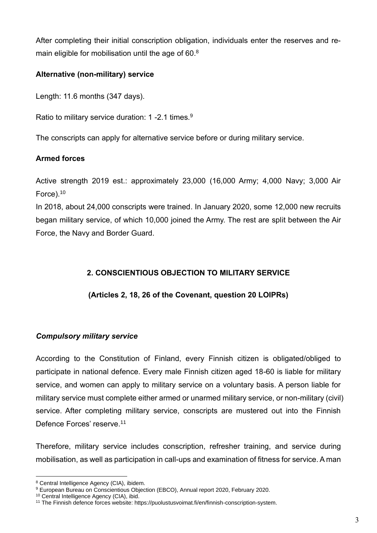After completing their initial conscription obligation, individuals enter the reserves and remain eligible for mobilisation until the age of 60.<sup>8</sup>

#### **Alternative (non-military) service**

Length: 11.6 months (347 days).

Ratio to military service duration: 1 -2.1 times.<sup>9</sup>

The conscripts can apply for alternative service before or during military service.

#### **Armed forces**

Active strength 2019 est.: approximately 23,000 (16,000 Army; 4,000 Navy; 3,000 Air Force).<sup>10</sup>

In 2018, about 24,000 conscripts were trained. In January 2020, some 12,000 new recruits began military service, of which 10,000 joined the Army. The rest are split between the Air Force, the Navy and Border Guard.

#### **2. CONSCIENTIOUS OBJECTION TO MILITARY SERVICE**

#### **(Articles 2, 18, 26 of the Covenant, question 20 LOIPRs)**

#### *Compulsory military service*

According to the Constitution of Finland, every Finnish citizen is obligated/obliged to participate in national defence. Every male Finnish citizen aged 18-60 is liable for military service, and women can apply to military service on a voluntary basis. A person liable for military service must complete either armed or unarmed military service, or non-military (civil) service. After completing military service, conscripts are mustered out into the Finnish Defence Forces' reserve.<sup>11</sup>

Therefore, military service includes conscription, refresher training, and service during mobilisation, as well as participation in call-ups and examination of fitness for service. A man

<sup>8</sup> Central Intelligence Agency (CIA), ibidem.

<sup>9</sup> European Bureau on Conscientious Objection (EBCO), Annual report 2020, February 2020.

<sup>&</sup>lt;sup>10</sup> Central Intelligence Agency (CIA), ibid.

<sup>11</sup> The Finnish defence forces website: https://puolustusvoimat.fi/en/finnish-conscription-system.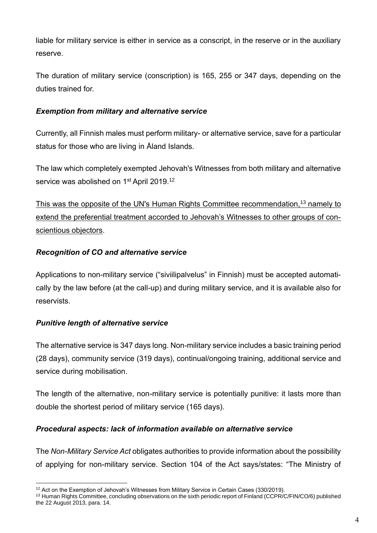liable for military service is either in service as a conscript, in the reserve or in the auxiliary reserve.

The duration of military service (conscription) is 165, 255 or 347 days, depending on the duties trained for.

#### *Exemption from military and alternative service*

Currently, all Finnish males must perform military- or alternative service, save for a particular status for those who are living in Åland Islands.

The law which completely exempted Jehovah's Witnesses from both military and alternative service was abolished on 1<sup>st</sup> April 2019.<sup>12</sup>

This was the opposite of the UN's Human Rights Committee recommendation,<sup>13</sup> namely to extend the preferential treatment accorded to Jehovah's Witnesses to other groups of conscientious objectors.

#### *Recognition of CO and alternative service*

Applications to non-military service ("siviilipalvelus" in Finnish) must be accepted automatically by the law before (at the call-up) and during military service, and it is available also for reservists.

#### *Punitive length of alternative service*

The alternative service is 347 days long. Non-military service includes a basic training period (28 days), community service (319 days), continual/ongoing training, additional service and service during mobilisation.

The length of the alternative, non-military service is potentially punitive: it lasts more than double the shortest period of military service (165 days).

#### *Procedural aspects: lack of information available on alternative service*

The *Non-Military Service Act* obligates authorities to provide information about the possibility of applying for non-military service. Section 104 of the Act says/states: "The Ministry of

<sup>&</sup>lt;sup>12</sup> Act on the Exemption of Jehovah's Witnesses from Military Service in Certain Cases (330/2019).

<sup>&</sup>lt;sup>13</sup> Human Rights Committee, concluding observations on the sixth periodic report of Finland (CCPR/C/FIN/CO/6) published the 22 August 2013, para. 14.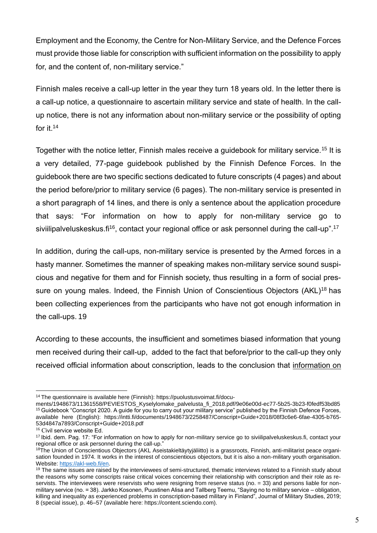Employment and the Economy, the Centre for Non-Military Service, and the Defence Forces must provide those liable for conscription with sufficient information on the possibility to apply for, and the content of, non-military service."

Finnish males receive a call-up letter in the year they turn 18 years old. In the letter there is a call-up notice, a questionnaire to ascertain military service and state of health. In the callup notice, there is not any information about non-military service or the possibility of opting for it.<sup>14</sup>

Together with the notice letter. Finnish males receive a guidebook for military service.<sup>15</sup> It is a very detailed, 77-page guidebook published by the Finnish Defence Forces. In the guidebook there are two specific sections dedicated to future conscripts (4 pages) and about the period before/prior to military service (6 pages). The non-military service is presented in a short paragraph of 14 lines, and there is only a sentence about the application procedure that says: "For information on how to apply for non-military service go to siviilipalveluskeskus.fi<sup>16</sup>, contact your regional office or ask personnel during the call-up".<sup>17</sup>

In addition, during the call-ups, non-military service is presented by the Armed forces in a hasty manner. Sometimes the manner of speaking makes non-military service sound suspicious and negative for them and for Finnish society, thus resulting in a form of social pressure on young males. Indeed, the Finnish Union of Conscientious Objectors (AKL)<sup>18</sup> has been collecting experiences from the participants who have not got enough information in the call-ups. 19

According to these accounts, the insufficient and sometimes biased information that young men received during their call-up, added to the fact that before/prior to the call-up they only received official information about conscription, leads to the conclusion that information on

<sup>14</sup> The questionnaire is available here (Finnish): https://puolustusvoimat.fi/docu-

ments/1948673/11361558/PEVIESTOS\_Kyselylomake\_palvelusta\_fi\_2018.pdf/9e06e00d-ec77-5b25-3b23-f0fedf53bd85 <sup>15</sup> Guidebook "Conscript 2020. A quide for you to carry out your military service" published by the Finnish Defence Forces, available here (English): https://intti.fi/documents/1948673/2258487/Conscript+Guide+2018/08f3c6e6-6fae-4305-b765- 53d4847a7893/Conscript+Guide+2018.pdf

<sup>&</sup>lt;sup>16</sup> Civil service website Ed.

<sup>17</sup> Ibid. dem. Pag. 17: "For information on how to apply for non-military service go to siviilipalveluskeskus.fi, contact your regional office or ask personnel during the call-up."

<sup>&</sup>lt;sup>18</sup>The Union of Conscientious Objectors (AKL Aseistakieltäytyjäliitto) is a grassroots, Finnish, anti-militarist peace organisation founded in 1974. It works in the interest of conscientious objectors, but it is also a non-military youth organisation. Website: [https://akl-web.fi/en.](https://akl-web.fi/en)

<sup>&</sup>lt;sup>19</sup> The same issues are raised by the interviewees of semi-structured, thematic interviews related to a Finnish study about the reasons why some conscripts raise critical voices concerning their relationship with conscription and their role as reservists. The interviewees were reservists who were resigning from reserve status (no. = 33) and persons liable for nonmilitary service (no. = 38). Jarkko Kosonen, Puustinen Alisa and Tallberg Teemu, "Saying no to military service – obligation, killing and inequality as experienced problems in conscription-based military in Finland", Journal of Military Studies, 2019; 8 (special issue), p. 46–57 (available here: https://content.sciendo.com).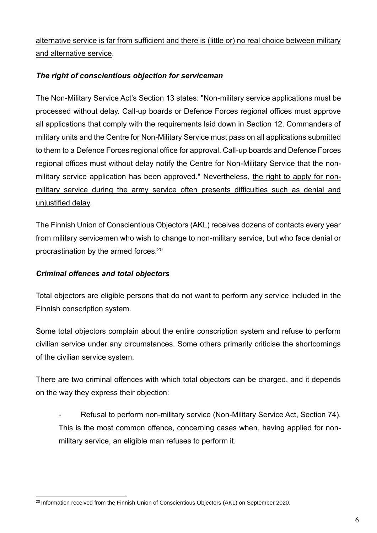alternative service is far from sufficient and there is (little or) no real choice between military and alternative service.

#### *The right of conscientious objection for serviceman*

The Non-Military Service Act's Section 13 states: "Non-military service applications must be processed without delay. Call-up boards or Defence Forces regional offices must approve all applications that comply with the requirements laid down in Section 12. Commanders of military units and the Centre for Non-Military Service must pass on all applications submitted to them to a Defence Forces regional office for approval. Call-up boards and Defence Forces regional offices must without delay notify the Centre for Non-Military Service that the nonmilitary service application has been approved." Nevertheless, the right to apply for nonmilitary service during the army service often presents difficulties such as denial and unjustified delay.

The Finnish Union of Conscientious Objectors (AKL) receives dozens of contacts every year from military servicemen who wish to change to non-military service, but who face denial or procrastination by the armed forces.<sup>20</sup>

#### *Criminal offences and total objectors*

Total objectors are eligible persons that do not want to perform any service included in the Finnish conscription system.

Some total objectors complain about the entire conscription system and refuse to perform civilian service under any circumstances. Some others primarily criticise the shortcomings of the civilian service system.

There are two criminal offences with which total objectors can be charged, and it depends on the way they express their objection:

Refusal to perform non-military service (Non-Military Service Act, Section 74). This is the most common offence, concerning cases when, having applied for nonmilitary service, an eligible man refuses to perform it.

<sup>&</sup>lt;sup>20</sup> Information received from the Finnish Union of Conscientious Objectors (AKL) on September 2020.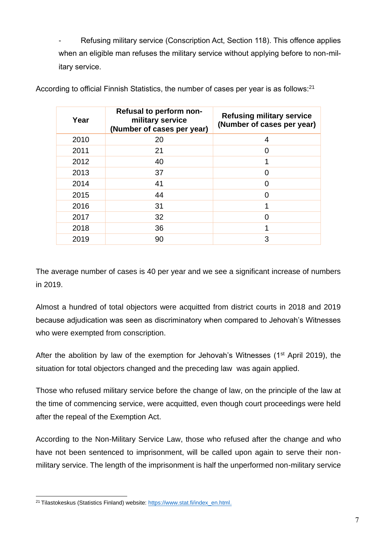Refusing military service (Conscription Act, Section 118). This offence applies when an eligible man refuses the military service without applying before to non-military service.

| Year | Refusal to perform non-<br>military service<br>(Number of cases per year) | <b>Refusing military service</b><br>(Number of cases per year) |
|------|---------------------------------------------------------------------------|----------------------------------------------------------------|
| 2010 | 20                                                                        | 4                                                              |
| 2011 | 21                                                                        | 0                                                              |
| 2012 | 40                                                                        |                                                                |
| 2013 | 37                                                                        | 0                                                              |
| 2014 | 41                                                                        | 0                                                              |
| 2015 | 44                                                                        | 0                                                              |
| 2016 | 31                                                                        |                                                                |
| 2017 | 32                                                                        | 0                                                              |
| 2018 | 36                                                                        |                                                                |
| 2019 | 90                                                                        | 3                                                              |

According to official Finnish Statistics, the number of cases per year is as follows:<sup>21</sup>

The average number of cases is 40 per year and we see a significant increase of numbers in 2019.

Almost a hundred of total objectors were acquitted from district courts in 2018 and 2019 because adjudication was seen as discriminatory when compared to Jehovah's Witnesses who were exempted from conscription.

After the abolition by law of the exemption for Jehovah's Witnesses ( $1<sup>st</sup>$  April 2019), the situation for total objectors changed and the preceding law was again applied.

Those who refused military service before the change of law, on the principle of the law at the time of commencing service, were acquitted, even though court proceedings were held after the repeal of the Exemption Act.

According to the Non-Military Service Law, those who refused after the change and who have not been sentenced to imprisonment, will be called upon again to serve their nonmilitary service. The length of the imprisonment is half the unperformed non-military service

<sup>&</sup>lt;sup>21</sup> Tilastokeskus (Statistics Finland) website: [https://www.stat.fi/index\\_en.html.](https://www.stat.fi/index_en.html)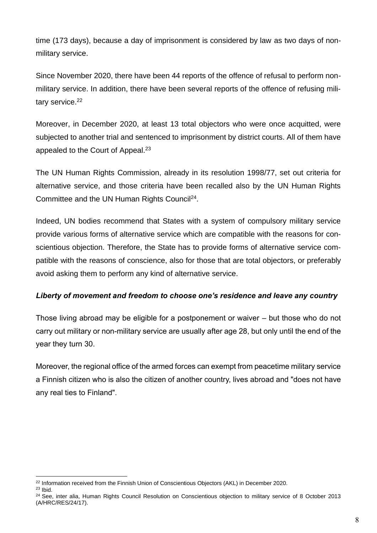time (173 days), because a day of imprisonment is considered by law as two days of nonmilitary service.

Since November 2020, there have been 44 reports of the offence of refusal to perform nonmilitary service. In addition, there have been several reports of the offence of refusing military service.<sup>22</sup>

Moreover, in December 2020, at least 13 total objectors who were once acquitted, were subjected to another trial and sentenced to imprisonment by district courts. All of them have appealed to the Court of Appeal.<sup>23</sup>

The UN Human Rights Commission, already in its resolution 1998/77, set out criteria for alternative service, and those criteria have been recalled also by the UN Human Rights Committee and the UN Human Rights Council<sup>24</sup>.

Indeed, UN bodies recommend that States with a system of compulsory military service provide various forms of alternative service which are compatible with the reasons for conscientious objection. Therefore, the State has to provide forms of alternative service compatible with the reasons of conscience, also for those that are total objectors, or preferably avoid asking them to perform any kind of alternative service.

#### *Liberty of movement and freedom to choose one's residence and leave any country*

Those living abroad may be eligible for a postponement or waiver – but those who do not carry out military or non-military service are usually after age 28, but only until the end of the year they turn 30.

Moreover, the regional office of the armed forces can exempt from peacetime military service a Finnish citizen who is also the citizen of another country, lives abroad and "does not have any real ties to Finland".

<sup>&</sup>lt;sup>22</sup> Information received from the Finnish Union of Conscientious Objectors (AKL) in December 2020.

 $23$  Ibid.

<sup>&</sup>lt;sup>24</sup> See, inter alia, Human Rights Council Resolution on Conscientious objection to military service of 8 October 2013 (A/HRC/RES/24/17).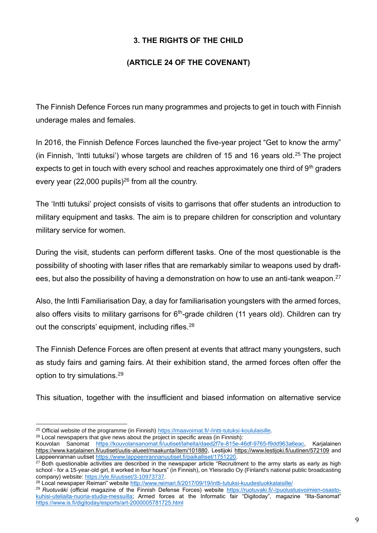### **3. THE RIGHTS OF THE CHILD**

#### **(ARTICLE 24 OF THE COVENANT)**

The Finnish Defence Forces run many programmes and projects to get in touch with Finnish underage males and females.

In 2016, the Finnish Defence Forces launched the five-year project "Get to know the army" (in Finnish, 'Intti tutuksi') whose targets are children of 15 and 16 years old.<sup>25</sup> The project expects to get in touch with every school and reaches approximately one third of  $9<sup>th</sup>$  graders every year (22,000 pupils)<sup>26</sup> from all the country.

The 'Intti tutuksi' project consists of visits to garrisons that offer students an introduction to military equipment and tasks. The aim is to prepare children for conscription and voluntary military service for women.

During the visit, students can perform different tasks. One of the most questionable is the possibility of shooting with laser rifles that are remarkably similar to weapons used by draftees, but also the possibility of having a demonstration on how to use an anti-tank weapon.<sup>27</sup>

Also, the Intti Familiarisation Day, a day for familiarisation youngsters with the armed forces, also offers visits to military garrisons for  $6<sup>th</sup>$ -grade children (11 years old). Children can try out the conscripts' equipment, including rifles.<sup>28</sup>

The Finnish Defence Forces are often present at events that attract many youngsters, such as study fairs and gaming fairs. At their exhibition stand, the armed forces often offer the option to try simulations.<sup>29</sup>

This situation, together with the insufficient and biased information on alternative service

<sup>&</sup>lt;sup>25</sup> Official website of the programme (in Finnish) [https://maavoimat.fi/-/intti-tutuksi-koululaisille.](https://maavoimat.fi/-/intti-tutuksi-koululaisille)

 $26$  Local newspapers that give news about the project in specific areas (in Finnish):

Kouvolan Sanomat [https://kouvolansanomat.fi/uutiset/lahella/daed2f7e-815e-46df-9765-f9dd963a6eac,](https://kouvolansanomat.fi/uutiset/lahella/daed2f7e-815e-46df-9765-f9dd963a6eac) Karialainen [https://www.karjalainen.fi/uutiset/uutis-alueet/maakunta/item/101880,](https://www.karjalainen.fi/uutiset/uutis-alueet/maakunta/item/101880) Lestijoki<https://www.lestijoki.fi/uutinen/572109> and Lappeenrannan uutiset [https://www.lappeenrannanuutiset.fi/paikalliset/1751220.](https://www.lappeenrannanuutiset.fi/paikalliset/1751220)

<sup>&</sup>lt;sup>27</sup> Both questionable activities are described in the newspaper article "Recruitment to the army starts as early as high school - for a 15-year-old girl, it worked in four hours" (in Finnish), on Yleisradio Oy (Finland's national public broadcasting company) website: https://yle.fi/uutiset/3-10973737.

<sup>28</sup> Local newspaper Reimari" website<http://www.reimari.fi/2017/09/19/intti-tutuksi-kuudesluokkalaisille/>

<sup>29</sup> *Ruotuväki* (official magazine of the Finnish Defense Forces) website [https://ruotuvaki.fi/-/puolustusvoimien-osasto](https://ruotuvaki.fi/-/puolustusvoimien-osasto-kuhisi-uteliaita-nuoria-studia-messuilla)[kuhisi-uteliaita-nuoria-studia-messuilla;](https://ruotuvaki.fi/-/puolustusvoimien-osasto-kuhisi-uteliaita-nuoria-studia-messuilla) Armed forces at the Informatic fair "Digitoday", magazine "Ilta-Sanomat" <https://www.is.fi/digitoday/esports/art-2000005781725.html>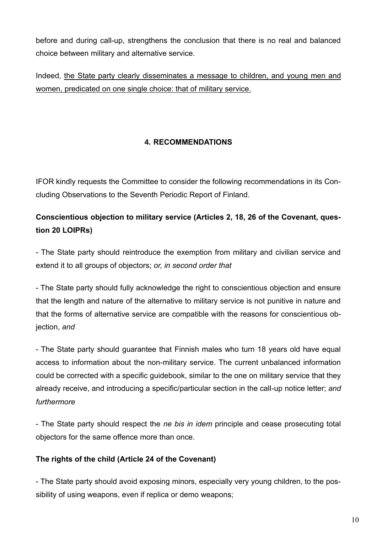before and during call-up, strengthens the conclusion that there is no real and balanced choice between military and alternative service.

Indeed, the State party clearly disseminates a message to children, and young men and women, predicated on one single choice: that of military service.

# **4. RECOMMENDATIONS**

IFOR kindly requests the Committee to consider the following recommendations in its Concluding Observations to the Seventh Periodic Report of Finland.

# **Conscientious objection to military service (Articles 2, 18, 26 of the Covenant, question 20 LOIPRs)**

- The State party should reintroduce the exemption from military and civilian service and extend it to all groups of objectors; *or, in second order that*

- The State party should fully acknowledge the right to conscientious objection and ensure that the length and nature of the alternative to military service is not punitive in nature and that the forms of alternative service are compatible with the reasons for conscientious objection, *and*

- The State party should guarantee that Finnish males who turn 18 years old have equal access to information about the non-military service. The current unbalanced information could be corrected with a specific guidebook, similar to the one on military service that they already receive, and introducing a specific/particular section in the call-up notice letter; *and furthermore*

- The State party should respect the *ne bis in idem* principle and cease prosecuting total objectors for the same offence more than once.

# **The rights of the child (Article 24 of the Covenant)**

- The State party should avoid exposing minors, especially very young children, to the possibility of using weapons, even if replica or demo weapons;